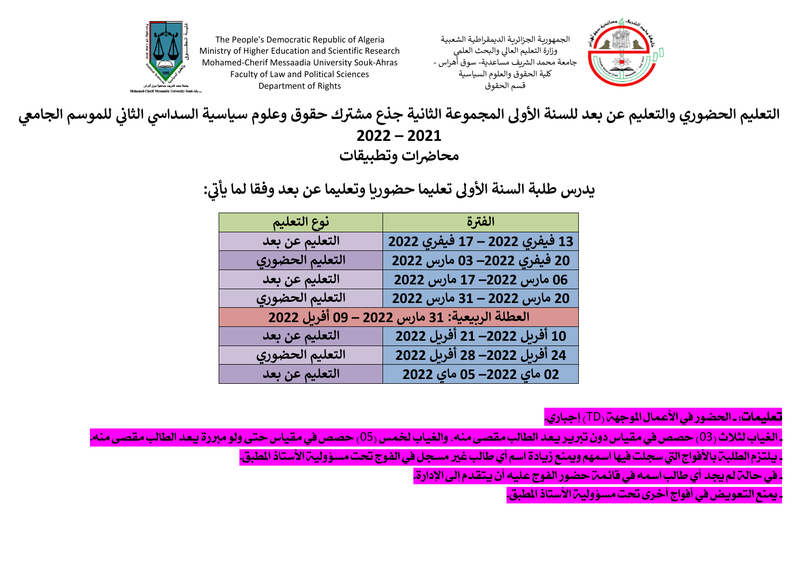





**يس التعليم الحضوري والتعليم عن بعد للسنة األوىل المجموعة الثانية ك حقوق وعلوم سياسية السدا ر** جذع مشترك حقوق وعلوم سياسية السداسي الثاني للموسم الجامعي **ي 2022 – 2021** محاضرات وتطبيقات

> يدرس طلبة السنة الأولى تعليما حضوريا وتعليما عن بعد وفقا لما يأتي: **ي عن بعد وفقا لما يأن**

| نوع التعليم     | الفترة                                        |
|-----------------|-----------------------------------------------|
| التعليم عن بعد  | 13 فيفري 2022 – 17 فيفري 2022                 |
| التعليم الحضوري | 20 فيفري 2022– 03 مارس 2022                   |
| التعليم عن بعد  | 06 مارس 2022– 17 مارس 2022                    |
| التعليم الحضوري | 20 مارس 2022 – 31 مارس 2022                   |
|                 | العطلة الربيعية: 31 مارس 2022 – 09 أفرىل 2022 |
| التعليم عن بعد  | 10 أَفْرِيل 2022– 21 أَفْرِيل 2022            |
| التعليم الحضوري | 24 أَفْرِيل 2022– 28 أَفْرِيل 2022            |
| التعليم عن بعد  | 02 ماي 2022– 05 ماي 2022                      |

<mark>تعليمات: ـ الحضور في الأعمال الموجهة <sub>(</sub>TD ) إجباري.</mark>

ـ الغياب لثلاث <sub>(</sub>03) حصص في مقياس دون تبرير يعد الطالب مقصى منه، والغياب لخمس (05<sub>)</sub> حصص في مقياس حتى ولو مبررة يعد الطالب مقصى منه.

ـ يلتزم الطلبـة بالأفواج التي سجلت فيها اسمهم ويمنع زيادة اسم أي طالب غير مسجل في الفوج تحت مسؤوليـة الأستاذ المطبق.

. في حالة لم يجد أي طالب اسمه في قائمة حضور الفوج عليه أن يتقدم إلى الإدارة.

- مينع التعويض يف أفواج أخرى حتت مسؤولية األستاذ املطبق.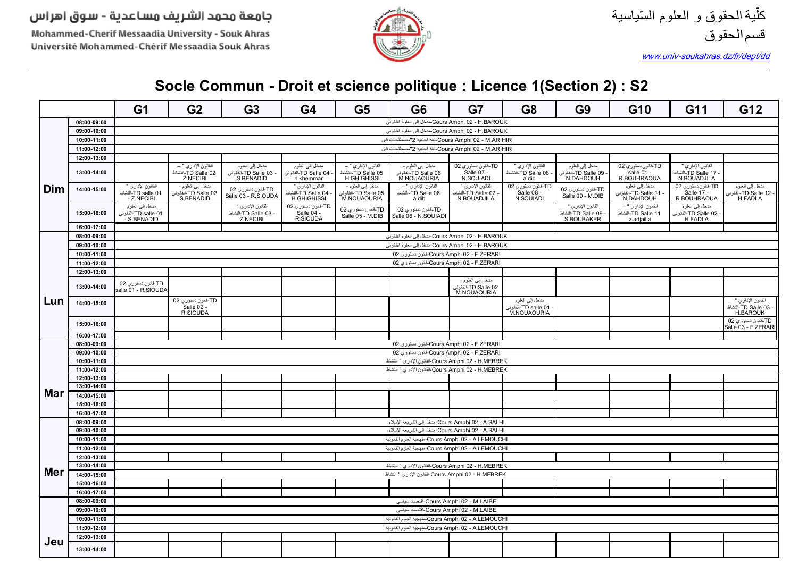Mohammed-Cherif Messaadia University - Souk Ahras Université Mohammed-Chérif Messaadia Souk Ahras



www.univ-soukahras.dz/fr/dept/dd

|                                                                   |                            | G <sub>1</sub>                                         | G <sub>2</sub>                                         | G <sub>3</sub>                                          | G <sub>4</sub>                                                | G <sub>5</sub>                                                  | G <sub>6</sub>                                                 | G7                                                           | G <sub>8</sub>                                             | G <sub>9</sub>                                         | G <sub>10</sub>                                         | G11                                                         | G12                                                          |
|-------------------------------------------------------------------|----------------------------|--------------------------------------------------------|--------------------------------------------------------|---------------------------------------------------------|---------------------------------------------------------------|-----------------------------------------------------------------|----------------------------------------------------------------|--------------------------------------------------------------|------------------------------------------------------------|--------------------------------------------------------|---------------------------------------------------------|-------------------------------------------------------------|--------------------------------------------------------------|
|                                                                   | 08:00-09:00                |                                                        |                                                        |                                                         |                                                               |                                                                 | Cours Amphi 02 - H.BAROUK-مدخل إلى العلوم القانوني             |                                                              |                                                            |                                                        |                                                         |                                                             |                                                              |
|                                                                   | 09:00-10:00                |                                                        |                                                        |                                                         |                                                               |                                                                 | Cours Amphi 02 - H.BAROUK-مدخل إلى العلوم القانوني             |                                                              |                                                            |                                                        |                                                         |                                                             |                                                              |
| Cours Amphi 02 - M.ARIHIR-لغة اجنبية 2"مصطلحات قان<br>10:00-11:00 |                            |                                                        |                                                        |                                                         |                                                               |                                                                 |                                                                |                                                              |                                                            |                                                        |                                                         |                                                             |                                                              |
| Cours Amphi 02 - M.ARIHIR-لغة اجنبية 2"مصطلحات قان<br>11:00-12:00 |                            |                                                        |                                                        |                                                         |                                                               |                                                                 |                                                                |                                                              |                                                            |                                                        |                                                         |                                                             |                                                              |
|                                                                   | 12:00-13:00                |                                                        |                                                        |                                                         |                                                               |                                                                 |                                                                |                                                              |                                                            |                                                        |                                                         |                                                             |                                                              |
|                                                                   | 13:00-14:00                |                                                        | القانون الإداري " —<br>TD Salle 02-النشاط<br>Z.NECIBI  | مدخل إلىي العلوم<br>- TD Salle 03-القانوني<br>S.BENADID | مدخل إلىي العلوم<br>TD Salle 04-القانونى<br>n.khemmar         | القانون الإداري " –<br>TD Salle 05-النشاط<br><b>H.GHIGHISSI</b> | مدخل إلىي العلوم -<br>TD Salle 06-الْقَادُو نَم<br>M.NOUAOURIA | TD-قلون دستوري 02<br>Salle 07 -<br>N.SOUIADI                 | القانون الإداري "<br>TD Salle 08-النشاط<br>a.dib           | مدخل إلىي العلوم<br>TD Salle 09-القانو نہ<br>N.DAHDOUH | TD-قانون دستوري 02<br>salle 01 -<br>R.BOUHRAOUA         | القانون الإداري '<br>.<br>TD Salle 17-النشاط<br>N.BOUADJILA |                                                              |
| Dim                                                               | 14:00-15:00                | القانون الإداري "<br>TD salle 01-النشاط<br>- Z.NECIBI  | مدخل إلى العلوم -<br>TD Salle 02-القانونى<br>S.BENADID | TD-قانون دستوري 02<br>Salle 03 - R.SIOUDA               | القانون الإداري "<br>TD Salle 04-النشاط<br><b>H.GHIGHISSI</b> | مدخل إلىي العلوم -<br>TD Salle 05-القلونى<br>M.NOUAOURIA        | القانون الإداري " –<br>TD Salle 06-النشاط<br>a.dib             | القانون الإداري "<br>TD Salle 07-النشاه<br>N.BOUADJILA       | TD-قلون دستوري 02<br>Salle 08 -<br>N.SOUIADI               | TD-قانون دستوري 02<br>Salle 09 - M.DIB                 | مدخل إلىي العلوم<br>TD Salle 11-القانونى<br>N.DAHDOUH   | TD-قانون دستوري 02<br>Salle 17 -<br>R.BOUHRAOUA             | مدخل إلىي العلوم<br>- TD Salle 12-القلونم<br>H.FADLA         |
|                                                                   | 15:00 16:00                | مدخل إلى العلوم<br>TD salle 01-القانوني<br>S.BENADID - |                                                        | القانون الإداري<br>- TD Salle 03-النشاط<br>Z.NECIBI     | TD-قانون دستوري 02<br>Salle 04 -<br>R.SIOUDA                  | TD-قانون دستوري O2<br>Salle 05 - M.DIB                          | TD-قانون دستوري O2<br>Salle 06 - N.SOUIADI                     |                                                              |                                                            | القانون الإداري<br>TD Salle 09-النشاط<br>S.BOUBAKER    | القانون الإداري " –<br>TD Salle 11-النشاط<br>z.adjailia | مدخل إلى العلوم<br>TD Salle 02-القانونى<br>H.FADLA          |                                                              |
|                                                                   | 16:00-17:00                |                                                        |                                                        |                                                         |                                                               |                                                                 |                                                                |                                                              |                                                            |                                                        |                                                         |                                                             |                                                              |
|                                                                   | 08:00-09:00                |                                                        |                                                        |                                                         |                                                               |                                                                 | Cours Amphi 02 - H.BAROUK-مدخل إلى العلوم القانوني             |                                                              |                                                            |                                                        |                                                         |                                                             |                                                              |
|                                                                   | 09:00-10:00                |                                                        |                                                        |                                                         |                                                               |                                                                 | Cours Amphi 02 - H.BAROUK-مدخل إلى العلوم القانوني             |                                                              |                                                            |                                                        |                                                         |                                                             |                                                              |
|                                                                   | 10:00-11:00                |                                                        |                                                        |                                                         |                                                               |                                                                 | Cours Amphi 02 - F.ZERARI-قانون دستورى 02                      |                                                              |                                                            |                                                        |                                                         |                                                             |                                                              |
|                                                                   | 11:00-12:00                |                                                        |                                                        |                                                         |                                                               |                                                                 | Cours Amphi 02 - F.ZERARI كانون دستورى 02                      |                                                              |                                                            |                                                        |                                                         |                                                             |                                                              |
|                                                                   | 12:00-13:00                |                                                        |                                                        |                                                         |                                                               |                                                                 |                                                                |                                                              |                                                            |                                                        |                                                         |                                                             |                                                              |
|                                                                   | 13:00-14:00                | TD-قانون دستوري 02<br>salle 01 - R.SIOUDA              |                                                        |                                                         |                                                               |                                                                 |                                                                | مدخل إلى الطوم -<br>TD Salle 02-أَلْقَانُونِي<br>M.NOUAOURIA |                                                            |                                                        |                                                         |                                                             |                                                              |
| Lun                                                               | 14:00 15:00                |                                                        | TD-قانون دستوري 02<br>Salle 02 -<br>R.SIOUDA           |                                                         |                                                               |                                                                 |                                                                |                                                              | مدخل إلىي العلوم<br>TD salle 01-الْقَلْونِي<br>M.NOUAOURIA |                                                        |                                                         |                                                             | القانون الإداري "<br>- TD Salle 03-النشاط<br><b>H.BAROUK</b> |
|                                                                   | 15:00-16:00                |                                                        |                                                        |                                                         |                                                               |                                                                 |                                                                |                                                              |                                                            |                                                        |                                                         |                                                             | TD-قانون دستوري 02<br>Salle 03 - F.ZERARI                    |
|                                                                   | 16:00-17:00                |                                                        |                                                        |                                                         |                                                               |                                                                 |                                                                |                                                              |                                                            |                                                        |                                                         |                                                             |                                                              |
|                                                                   | 08:00-09:00                |                                                        |                                                        |                                                         |                                                               |                                                                 | Cours Amphi 02 - F.ZERARI خَانون دستورى 02                     |                                                              |                                                            |                                                        |                                                         |                                                             |                                                              |
|                                                                   | 09:00-10:00                |                                                        |                                                        |                                                         |                                                               |                                                                 | Cours Amphi 02 - F.ZERARI خانون دستوري 02                      |                                                              |                                                            |                                                        |                                                         |                                                             |                                                              |
|                                                                   | 10:00-11:00                |                                                        |                                                        |                                                         |                                                               |                                                                 | Cours Amphi 02 - H.MEBREK-القانون الإداري " النشاط             |                                                              |                                                            |                                                        |                                                         |                                                             |                                                              |
|                                                                   | 11:00-12:00                |                                                        |                                                        |                                                         |                                                               |                                                                 | Cours Amphi 02 - H.MEBREK-القانون الإداري " النشاط             |                                                              |                                                            |                                                        |                                                         |                                                             |                                                              |
|                                                                   | 12:00-13:00                |                                                        |                                                        |                                                         |                                                               |                                                                 |                                                                |                                                              |                                                            |                                                        |                                                         |                                                             |                                                              |
| Mar                                                               | 13:00-14:00                |                                                        |                                                        |                                                         |                                                               |                                                                 |                                                                |                                                              |                                                            |                                                        |                                                         |                                                             |                                                              |
|                                                                   | 14:00-15:00                |                                                        |                                                        |                                                         |                                                               |                                                                 |                                                                |                                                              |                                                            |                                                        |                                                         |                                                             |                                                              |
|                                                                   | 15:00-16:00                |                                                        |                                                        |                                                         |                                                               |                                                                 |                                                                |                                                              |                                                            |                                                        |                                                         |                                                             |                                                              |
|                                                                   | 16:00-17:00<br>08:00 09:00 |                                                        |                                                        |                                                         |                                                               |                                                                 | Cours Amphi 02 - A.SALHI-مدخل إلى الشريعة الإسلام              |                                                              |                                                            |                                                        |                                                         |                                                             |                                                              |
|                                                                   | 09:00-10:00                |                                                        |                                                        |                                                         |                                                               |                                                                 | Cours Amphi 02 - A.SALHI-مدخل إلى الشريعة الإسلام              |                                                              |                                                            |                                                        |                                                         |                                                             |                                                              |
|                                                                   | 10:00-11:00                |                                                        |                                                        |                                                         |                                                               |                                                                 | Cours Amphi 02 - A.LEMOUCHI-منهجية العلوم القانونية            |                                                              |                                                            |                                                        |                                                         |                                                             |                                                              |
|                                                                   | 11:00-12:00                |                                                        |                                                        |                                                         |                                                               |                                                                 | Cours Amphi 02 - A.LEMOUCHI-منهجية العلوم القانونية            |                                                              |                                                            |                                                        |                                                         |                                                             |                                                              |
|                                                                   | 12:00-13:00                |                                                        |                                                        |                                                         |                                                               |                                                                 |                                                                |                                                              |                                                            |                                                        |                                                         |                                                             |                                                              |
|                                                                   | 13:00-14:00                |                                                        |                                                        |                                                         |                                                               |                                                                 | Cours Amphi 02 - H.MEBREK-القانون الإداري " النشاط             |                                                              |                                                            |                                                        |                                                         |                                                             |                                                              |
| Mer                                                               | 14:00-15:00                |                                                        |                                                        |                                                         |                                                               |                                                                 | Cours Amphi 02 - H.MEBREK-القانون الإداري " النشاط             |                                                              |                                                            |                                                        |                                                         |                                                             |                                                              |
|                                                                   | 15:00-16:00                |                                                        |                                                        |                                                         |                                                               |                                                                 |                                                                |                                                              |                                                            |                                                        |                                                         |                                                             |                                                              |
|                                                                   | 16:00-17:00                |                                                        |                                                        |                                                         |                                                               |                                                                 |                                                                |                                                              |                                                            |                                                        |                                                         |                                                             |                                                              |
|                                                                   | 08:00-09:00                |                                                        |                                                        |                                                         |                                                               |                                                                 | -Cours Amphi 02 - M.LAIBE)-اقتصاد سياسى                        |                                                              |                                                            |                                                        |                                                         |                                                             |                                                              |
|                                                                   | 09:00-10:00                |                                                        |                                                        |                                                         |                                                               |                                                                 | Cours Amphi 02 - M.LAIBE-اقتصاد سياسى                          |                                                              |                                                            |                                                        |                                                         |                                                             |                                                              |
|                                                                   | 10:00-11:00                |                                                        |                                                        |                                                         |                                                               |                                                                 | Cours Amphi 02 - A.LEMOUCHI-منهجية العلوم القانونية            |                                                              |                                                            |                                                        |                                                         |                                                             |                                                              |
|                                                                   | 11:00-12:00                |                                                        |                                                        |                                                         |                                                               |                                                                 | Cours Amphi 02 - A.LEMOUCHI-منهجية العلوم القانونية            |                                                              |                                                            |                                                        |                                                         |                                                             |                                                              |
| Jeu                                                               | 12:00-13:00                |                                                        |                                                        |                                                         |                                                               |                                                                 |                                                                |                                                              |                                                            |                                                        |                                                         |                                                             |                                                              |
|                                                                   | 13:00-14:00                |                                                        |                                                        |                                                         |                                                               |                                                                 |                                                                |                                                              |                                                            |                                                        |                                                         |                                                             |                                                              |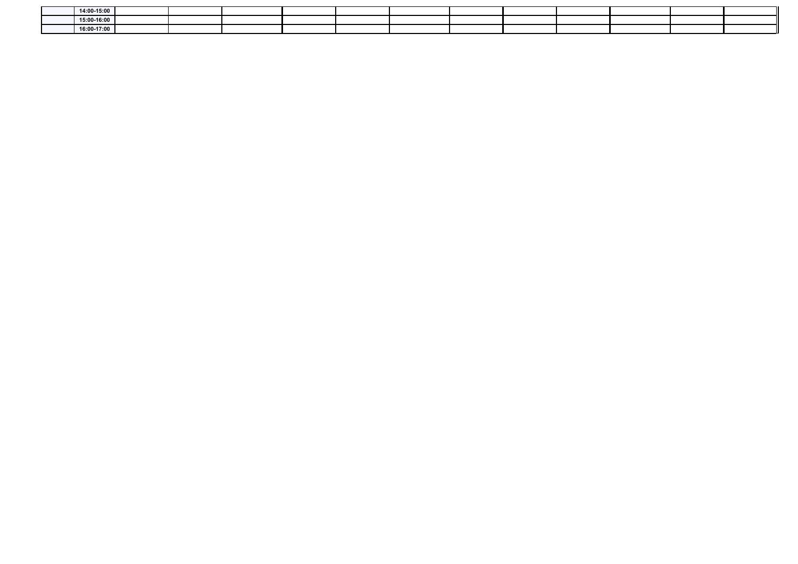| 14:00 15:00 |  |  |  |  |  |  |
|-------------|--|--|--|--|--|--|
| 15:00-16:00 |  |  |  |  |  |  |
| 16:00 17:00 |  |  |  |  |  |  |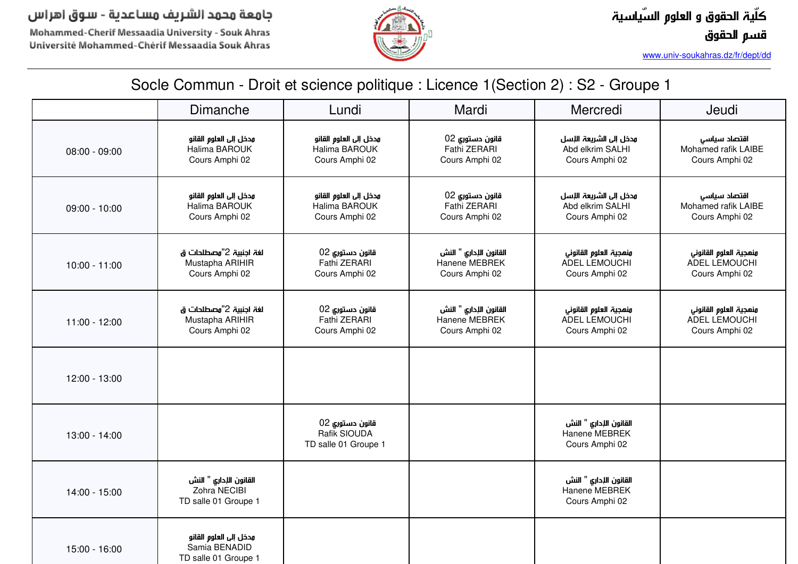Mohammed-Cherif Messaadia University - Souk Ahras Université Mohammed-Chérif Messaadia Souk Ahras



*www.univ-soukahras.dz/fr/dept/dd*

|                 | Dimanche                                                        | Lundi                                                     | Mardi                                                     | Mercredi                                                      | Jeudi                                                     |
|-----------------|-----------------------------------------------------------------|-----------------------------------------------------------|-----------------------------------------------------------|---------------------------------------------------------------|-----------------------------------------------------------|
| $08:00 - 09:00$ | مدخل إلى العلوم القانو<br>Halima BAROUK<br>Cours Amphi 02       | مدخل إلى العلوم القانو<br>Halima BAROUK<br>Cours Amphi 02 | قانون دستوري 02<br>Fathi ZERARI<br>Cours Amphi 02         | مدخل إلى الشريعة اللسل<br>Abd elkrim SALHI<br>Cours Amphi 02  | اقتصاد سياسى<br>Mohamed rafik LAIBE<br>Cours Amphi 02     |
| $09:00 - 10:00$ | مدخل إلى العلوم القانو<br>Halima BAROUK<br>Cours Amphi 02       | مدخل إلى العلوم القانو<br>Halima BAROUK<br>Cours Amphi 02 | قانون دستوري 02<br>Fathi ZERARI<br>Cours Amphi 02         | مدخل إلى الشريعة اللإسل<br>Abd elkrim SALHI<br>Cours Amphi 02 | اقتصاد سياسى<br>Mohamed rafik LAIBE<br>Cours Amphi 02     |
| $10:00 - 11:00$ | لغة اجنبية 2"مصطلحات ق<br>Mustapha ARIHIR<br>Cours Amphi 02     | قانون دستوري 02<br>Fathi ZERARI<br>Cours Amphi 02         | القانون الإداري " النش<br>Hanene MEBREK<br>Cours Amphi 02 | ونهجية العلوم القانوني<br>ADEL LEMOUCHI<br>Cours Amphi 02     | ونهجية العلوم القانوني<br>ADEL LEMOUCHI<br>Cours Amphi 02 |
| 11:00 - 12:00   | لغة اجنبية 2"مصطلحات ق<br>Mustapha ARIHIR<br>Cours Amphi 02     | قانون دستوري 02<br>Fathi ZERARI<br>Cours Amphi 02         | القانون الإداري " النش<br>Hanene MEBREK<br>Cours Amphi 02 | ونهجية العلوم القانونى<br>ADEL LEMOUCHI<br>Cours Amphi 02     | ونهجية العلوم القانوني<br>ADEL LEMOUCHI<br>Cours Amphi 02 |
| 12:00 - 13:00   |                                                                 |                                                           |                                                           |                                                               |                                                           |
| 13:00 - 14:00   |                                                                 | قانون دستوري 02<br>Rafik SIOUDA<br>TD salle 01 Groupe 1   |                                                           | القانون الإداري " النش<br>Hanene MEBREK<br>Cours Amphi 02     |                                                           |
| 14:00 - 15:00   | القانون الإداري " النش<br>Zohra NECIBI<br>TD salle 01 Groupe 1  |                                                           |                                                           | القانون الإداري " النش<br>Hanene MEBREK<br>Cours Amphi 02     |                                                           |
| 15:00 - 16:00   | مدخل إلى العلوم القانو<br>Samia BENADID<br>TD salle 01 Groupe 1 |                                                           |                                                           |                                                               |                                                           |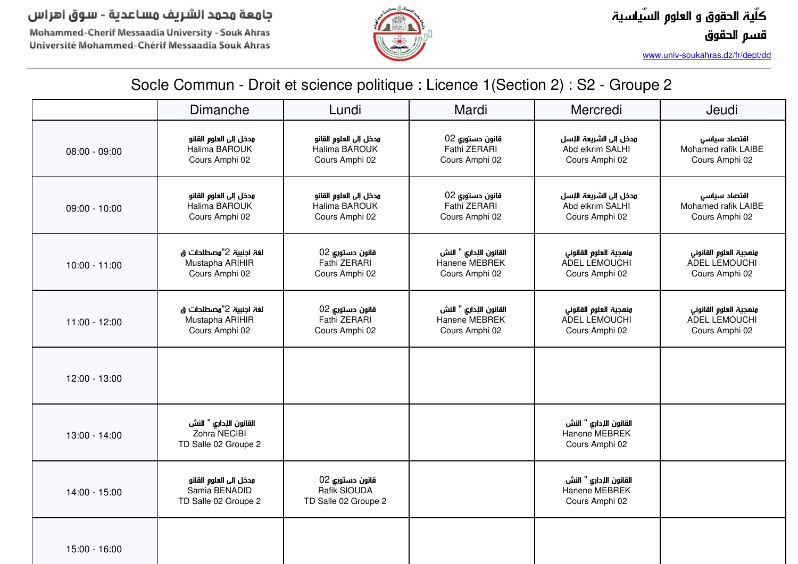Mohammed-Cherif Messaadia University - Souk Ahras Université Mohammed-Chérif Messaadia Souk Ahras



*www.univ-soukahras.dz/fr/dept/dd*

|                 | Dimanche                                                        | Lundi                                                     | Mardi                                                     | Mercredi                                                     | Jeudi                                                     |
|-----------------|-----------------------------------------------------------------|-----------------------------------------------------------|-----------------------------------------------------------|--------------------------------------------------------------|-----------------------------------------------------------|
| $08:00 - 09:00$ | مدخل إلى العلوم القانو<br>Halima BAROUK<br>Cours Amphi 02       | مدخل إلى العلوم القانو<br>Halima BAROUK<br>Cours Amphi 02 | قانون دستوري 02<br>Fathi ZERARI<br>Cours Amphi 02         | مدخل إلى الشريعة الإسل<br>Abd elkrim SALHI<br>Cours Amphi 02 | اقتصاد سياسى<br>Mohamed rafik LAIBE<br>Cours Amphi 02     |
| $09:00 - 10:00$ | مدخل إلى العلوم القانو<br>Halima BAROUK<br>Cours Amphi 02       | مدخل إلى العلوم القانو<br>Halima BAROUK<br>Cours Amphi 02 | قانون دستوري 02<br>Fathi ZERARI<br>Cours Amphi 02         | مدخل إلى الشريعة الإسل<br>Abd elkrim SALHI<br>Cours Amphi 02 | اقتصاد سياسى<br>Mohamed rafik LAIBE<br>Cours Amphi 02     |
| $10:00 - 11:00$ | لغة اجنبية 2"وصطلحات ق<br>Mustapha ARIHIR<br>Cours Amphi 02     | قانون دستوري 02<br>Fathi ZERARI<br>Cours Amphi 02         | القانون الإداري " النش<br>Hanene MEBREK<br>Cours Amphi 02 | ونهجية العلوم القانوني<br>ADEL LEMOUCHI<br>Cours Amphi 02    | ونهجية العلوم القانوني<br>ADEL LEMOUCHI<br>Cours Amphi 02 |
| 11:00 - 12:00   | لغة اجنبية 2"وصطلحات ق<br>Mustapha ARIHIR<br>Cours Amphi 02     | قانون دستوري 02<br>Fathi ZERARI<br>Cours Amphi 02         | القانون الإداري " النش<br>Hanene MEBREK<br>Cours Amphi 02 | ونهجية العلوم القانوني<br>ADEL LEMOUCHI<br>Cours Amphi 02    | ونمجية العلوم القانوني<br>ADEL LEMOUCHI<br>Cours Amphi 02 |
| 12:00 - 13:00   |                                                                 |                                                           |                                                           |                                                              |                                                           |
| 13:00 - 14:00   | القانون الإداري " النش<br>Zohra NECIBI<br>TD Salle 02 Groupe 2  |                                                           |                                                           | القانون الإداري " النش<br>Hanene MEBREK<br>Cours Amphi 02    |                                                           |
| 14:00 - 15:00   | مدخل إلى العلوم القانو<br>Samia BENADID<br>TD Salle 02 Groupe 2 | قانون دستوري 02<br>Rafik SIOUDA<br>TD Salle 02 Groupe 2   |                                                           | القانون الإداري " النش<br>Hanene MEBREK<br>Cours Amphi 02    |                                                           |
| 15:00 - 16:00   |                                                                 |                                                           |                                                           |                                                              |                                                           |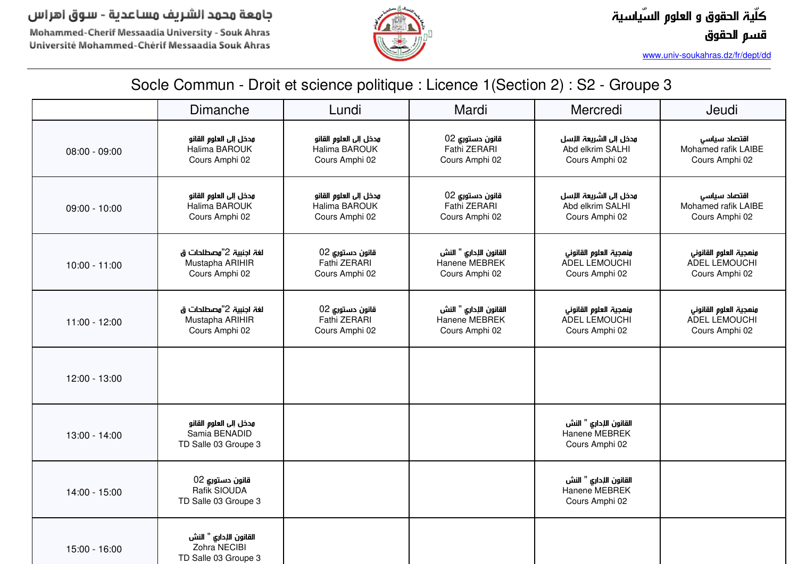Mohammed-Cherif Messaadia University - Souk Ahras Université Mohammed-Chérif Messaadia Souk Ahras



*www.univ-soukahras.dz/fr/dept/dd*

|                 | <b>Dimanche</b>                                                 | Lundi                                                     | Mardi                                                     | Mercredi                                                     | Jeudi                                                     |
|-----------------|-----------------------------------------------------------------|-----------------------------------------------------------|-----------------------------------------------------------|--------------------------------------------------------------|-----------------------------------------------------------|
| $08:00 - 09:00$ | مدخل إلى العلوم القانو<br>Halima BAROUK<br>Cours Amphi 02       | مدخل إلى العلوم القانو<br>Halima BAROUK<br>Cours Amphi 02 | قانون دستوري 02<br>Fathi ZERARI<br>Cours Amphi 02         | مدخل إلى الشريعة الإسل<br>Abd elkrim SALHI<br>Cours Amphi 02 | اقتصاد سياسى<br>Mohamed rafik LAIBE<br>Cours Amphi 02     |
| $09:00 - 10:00$ | مدخل إلى العلوم القانو<br>Halima BAROUK<br>Cours Amphi 02       | مدخل إلى العلوم القانو<br>Halima BAROUK<br>Cours Amphi 02 | قانون دستوري 02<br>Fathi ZERARI<br>Cours Amphi 02         | مدخل إلى الشريعة الإسل<br>Abd elkrim SALHI<br>Cours Amphi 02 | اقتصاد سياسى<br>Mohamed rafik LAIBE<br>Cours Amphi 02     |
| $10:00 - 11:00$ | لغة اجنبية 2"مصطلحات ق<br>Mustapha ARIHIR<br>Cours Amphi 02     | قانون دستوري 02<br>Fathi ZERARI<br>Cours Amphi 02         | القانون الإداري " النش<br>Hanene MEBREK<br>Cours Amphi 02 | ونهجية العلوم القانوني<br>ADEL LEMOUCHI<br>Cours Amphi 02    | ونهجية العلوم القانوني<br>ADEL LEMOUCHI<br>Cours Amphi 02 |
| 11:00 - 12:00   | لغة اجنبية 2"مصطلحات ق<br>Mustapha ARIHIR<br>Cours Amphi 02     | قانون دستوري 02<br>Fathi ZERARI<br>Cours Amphi 02         | القانون الإداري " النش<br>Hanene MEBREK<br>Cours Amphi 02 | ونهجية العلوم القانوني<br>ADEL LEMOUCHI<br>Cours Amphi 02    | ونهجية العلوم القانوني<br>ADEL LEMOUCHI<br>Cours Amphi 02 |
| 12:00 - 13:00   |                                                                 |                                                           |                                                           |                                                              |                                                           |
| 13:00 - 14:00   | مدخل إلى العلوم القانو<br>Samia BENADID<br>TD Salle 03 Groupe 3 |                                                           |                                                           | القانون الإداري " النش<br>Hanene MEBREK<br>Cours Amphi 02    |                                                           |
| 14:00 - 15:00   | قانون دستوري 02<br>Rafik SIOUDA<br>TD Salle 03 Groupe 3         |                                                           |                                                           | القانون الإداري " النش<br>Hanene MEBREK<br>Cours Amphi 02    |                                                           |
| 15:00 - 16:00   | القانون الإداري " النش<br>Zohra NECIBI<br>TD Salle 03 Groupe 3  |                                                           |                                                           |                                                              |                                                           |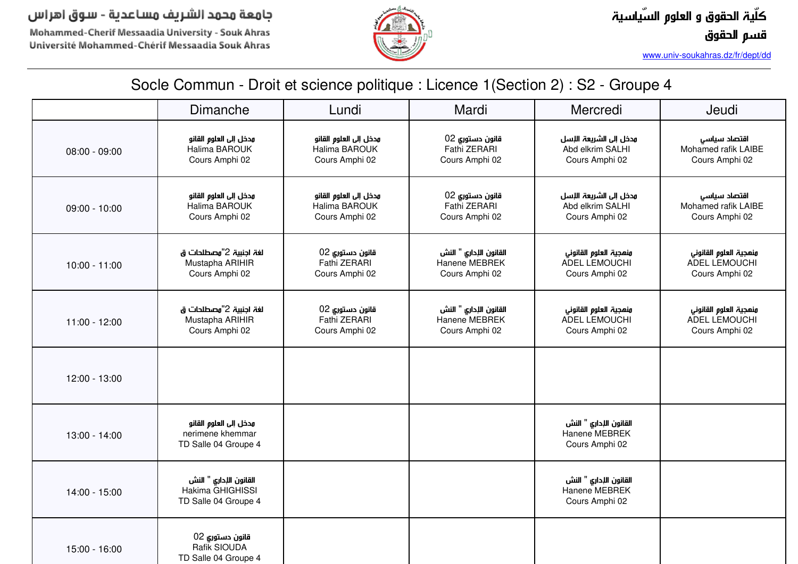Mohammed-Cherif Messaadia University - Souk Ahras Université Mohammed-Chérif Messaadia Souk Ahras



*www.univ-soukahras.dz/fr/dept/dd*

|                 | Dimanche                                                           | Lundi                                                     | Mardi                                                     | Mercredi                                                     | Jeudi                                                     |
|-----------------|--------------------------------------------------------------------|-----------------------------------------------------------|-----------------------------------------------------------|--------------------------------------------------------------|-----------------------------------------------------------|
| $08:00 - 09:00$ | مدخل إلى العلوم القانو<br>Halima BAROUK<br>Cours Amphi 02          | مدخل إلى العلوم القانو<br>Halima BAROUK<br>Cours Amphi 02 | قانون دستوري 02<br>Fathi ZERARI<br>Cours Amphi 02         | مدخل إلى الشريعة الإسل<br>Abd elkrim SALHI<br>Cours Amphi 02 | اقتصاد سياسى<br>Mohamed rafik LAIBE<br>Cours Amphi 02     |
| $09:00 - 10:00$ | مدخل إلى العلوم القانو<br>Halima BAROUK<br>Cours Amphi 02          | مدخل إلى العلوم القانو<br>Halima BAROUK<br>Cours Amphi 02 | قانون دستوري 02<br>Fathi ZERARI<br>Cours Amphi 02         | مدخل إلى الشريعة الإسل<br>Abd elkrim SALHI<br>Cours Amphi 02 | اقتصاد سياسى<br>Mohamed rafik LAIBE<br>Cours Amphi 02     |
| $10:00 - 11:00$ | لغة اجنبية 2"وصطلحات ق<br>Mustapha ARIHIR<br>Cours Amphi 02        | قانون دستوري 02<br>Fathi ZERARI<br>Cours Amphi 02         | القانون الإداري " النش<br>Hanene MEBREK<br>Cours Amphi 02 | ونمجية العلوم القانوني<br>ADEL LEMOUCHI<br>Cours Amphi 02    | ونمجية العلوم القانوني<br>ADEL LEMOUCHI<br>Cours Amphi 02 |
| 11:00 - 12:00   | لغة اجنبية 2"مصطلحات ق<br>Mustapha ARIHIR<br>Cours Amphi 02        | قانون دستوري 02<br>Fathi ZERARI<br>Cours Amphi 02         | القانون الإداري " النش<br>Hanene MEBREK<br>Cours Amphi 02 | ونهجية العلوم القانوني<br>ADEL LEMOUCHI<br>Cours Amphi 02    | ونمجية العلوم القانوني<br>ADEL LEMOUCHI<br>Cours Amphi 02 |
| 12:00 - 13:00   |                                                                    |                                                           |                                                           |                                                              |                                                           |
| 13:00 - 14:00   | مدخل إلى العلوم القانو<br>nerimene khemmar<br>TD Salle 04 Groupe 4 |                                                           |                                                           | القانون الإداري " النش<br>Hanene MEBREK<br>Cours Amphi 02    |                                                           |
| 14:00 - 15:00   | القانون الإداري " النش<br>Hakima GHIGHISSI<br>TD Salle 04 Groupe 4 |                                                           |                                                           | القانون الإداري " النش<br>Hanene MEBREK<br>Cours Amphi 02    |                                                           |
| 15:00 - 16:00   | قانون دستورى 02<br>Rafik SIOUDA<br>TD Salle 04 Groupe 4            |                                                           |                                                           |                                                              |                                                           |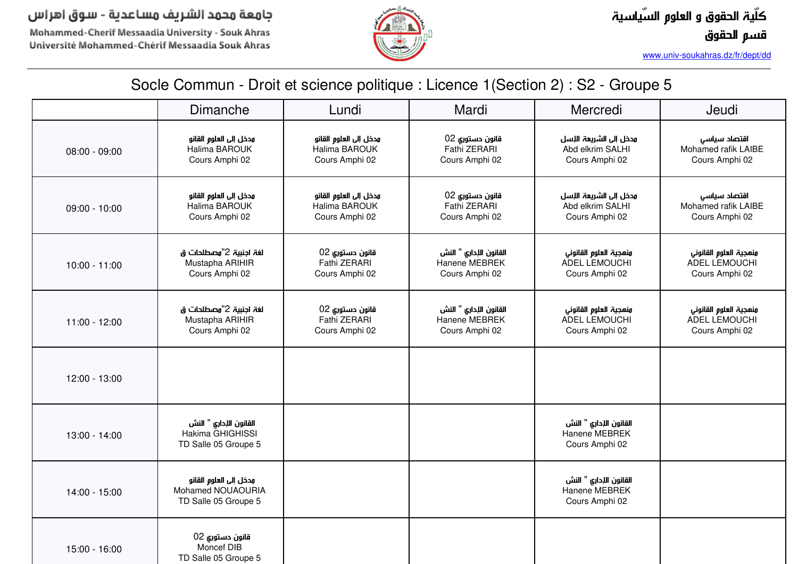Mohammed-Cherif Messaadia University - Souk Ahras Université Mohammed-Chérif Messaadia Souk Ahras



*www.univ-soukahras.dz/fr/dept/dd*

|                 | <b>Dimanche</b>                                                     | Lundi                                                     | Mardi                                                     | Mercredi                                                     | Jeudi                                                     |
|-----------------|---------------------------------------------------------------------|-----------------------------------------------------------|-----------------------------------------------------------|--------------------------------------------------------------|-----------------------------------------------------------|
| $08:00 - 09:00$ | مدخل إلى العلوم القانو<br>Halima BAROUK<br>Cours Amphi 02           | مدخل إلى العلوم القانو<br>Halima BAROUK<br>Cours Amphi 02 | قانون دستوري 02<br>Fathi ZERARI<br>Cours Amphi 02         | مدخل إلى الشريعة الإسل<br>Abd elkrim SALHI<br>Cours Amphi 02 | اقتصاد سياسى<br>Mohamed rafik LAIBE<br>Cours Amphi 02     |
| $09:00 - 10:00$ | مدخل إلى العلوم القانو<br>Halima BAROUK<br>Cours Amphi 02           | مدخل إلى العلوم القانو<br>Halima BAROUK<br>Cours Amphi 02 | قانون دستوري 02<br>Fathi ZERARI<br>Cours Amphi 02         | مدخل إلى الشريعة الإسل<br>Abd elkrim SALHI<br>Cours Amphi 02 | اقتصاد سياسى<br>Mohamed rafik LAIBE<br>Cours Amphi 02     |
| $10:00 - 11:00$ | لغة اجنبية 2"مصطلحات ق<br>Mustapha ARIHIR<br>Cours Amphi 02         | قانون دستوري 02<br>Fathi ZERARI<br>Cours Amphi 02         | القانون الإداري " النش<br>Hanene MEBREK<br>Cours Amphi 02 | ونهجية العلوم القانوني<br>ADEL LEMOUCHI<br>Cours Amphi 02    | ونهجية العلوم القانوني<br>ADEL LEMOUCHI<br>Cours Amphi 02 |
| 11:00 - 12:00   | لغة اجنبية 2"مصطلحات ق<br>Mustapha ARIHIR<br>Cours Amphi 02         | قانون دستوري 02<br>Fathi ZERARI<br>Cours Amphi 02         | القانون الإداري " النش<br>Hanene MEBREK<br>Cours Amphi 02 | ونهجية العلوم القانوني<br>ADEL LEMOUCHI<br>Cours Amphi 02    | ونهجية العلوم القانوني<br>ADEL LEMOUCHI<br>Cours Amphi 02 |
| 12:00 - 13:00   |                                                                     |                                                           |                                                           |                                                              |                                                           |
| 13:00 - 14:00   | القانون الإداري " النش<br>Hakima GHIGHISSI<br>TD Salle 05 Groupe 5  |                                                           |                                                           | القانون الإداري " النش<br>Hanene MEBREK<br>Cours Amphi 02    |                                                           |
| 14:00 - 15:00   | مدخل إلى العلوم القانو<br>Mohamed NOUAOURIA<br>TD Salle 05 Groupe 5 |                                                           |                                                           | القانون الإداري " النش<br>Hanene MEBREK<br>Cours Amphi 02    |                                                           |
| 15:00 - 16:00   | قانون دستورى 02<br>Moncef DIB<br>TD Salle 05 Groupe 5               |                                                           |                                                           |                                                              |                                                           |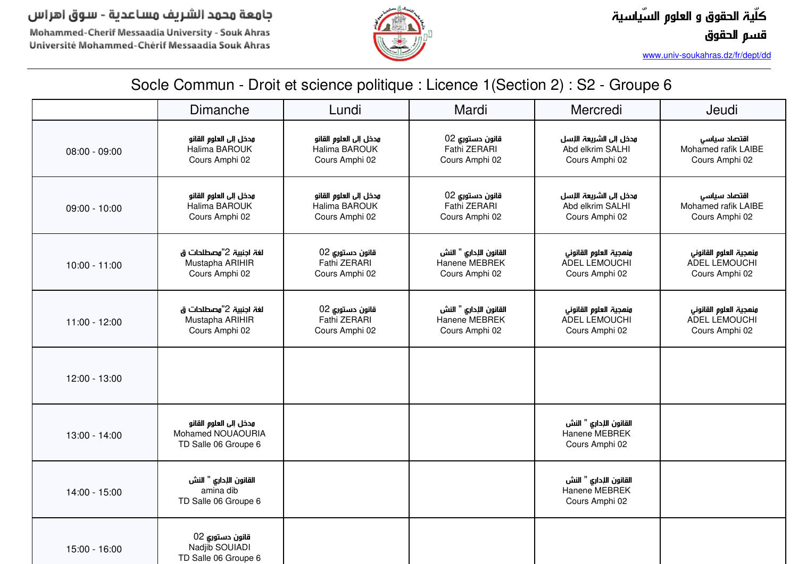Mohammed-Cherif Messaadia University - Souk Ahras Université Mohammed-Chérif Messaadia Souk Ahras



*www.univ-soukahras.dz/fr/dept/dd*

|                 | Dimanche                                                            | Lundi                                                     | Mardi                                                     | Mercredi                                                      | Jeudi                                                     |
|-----------------|---------------------------------------------------------------------|-----------------------------------------------------------|-----------------------------------------------------------|---------------------------------------------------------------|-----------------------------------------------------------|
| 08:00 - 09:00   | مدخل إلى العلوم القانو<br>Halima BAROUK<br>Cours Amphi 02           | مدخل إلى العلوم القانو<br>Halima BAROUK<br>Cours Amphi 02 | قانون دستوري 02<br>Fathi ZERARI<br>Cours Amphi 02         | مدخل إلى الشريعة اللسل<br>Abd elkrim SALHI<br>Cours Amphi 02  | اقتصاد سياسى<br>Mohamed rafik LAIBE<br>Cours Amphi 02     |
| $09:00 - 10:00$ | مدخل إلى العلوم القانو<br>Halima BAROUK<br>Cours Amphi 02           | مدخل إلى العلوم القانو<br>Halima BAROUK<br>Cours Amphi 02 | قانون دستوري 02<br>Fathi ZERARI<br>Cours Amphi 02         | مدخل إلى الشريعة اللاسل<br>Abd elkrim SALHI<br>Cours Amphi 02 | اقتصاد سياسى<br>Mohamed rafik LAIBE<br>Cours Amphi 02     |
| $10:00 - 11:00$ | لغة اجنبية 2"مصطلحات ق<br>Mustapha ARIHIR<br>Cours Amphi 02         | قانون دستوري 02<br>Fathi ZERARI<br>Cours Amphi 02         | القانون الإداري " النش<br>Hanene MEBREK<br>Cours Amphi 02 | ونهجية العلوم القانوني<br>ADEL LEMOUCHI<br>Cours Amphi 02     | ونهجية العلوم القانوني<br>ADEL LEMOUCHI<br>Cours Amphi 02 |
| $11:00 - 12:00$ | لغة اجنبية 2"مصطلحات ق<br>Mustapha ARIHIR<br>Cours Amphi 02         | قانون دستوري 02<br>Fathi ZERARI<br>Cours Amphi 02         | القانون الإداري " النش<br>Hanene MEBREK<br>Cours Amphi 02 | ونهجية العلوم القانوني<br>ADEL LEMOUCHI<br>Cours Amphi 02     | ونهجية العلوم القانوني<br>ADEL LEMOUCHI<br>Cours Amphi 02 |
| 12:00 - 13:00   |                                                                     |                                                           |                                                           |                                                               |                                                           |
| 13:00 - 14:00   | مدخل إلى العلوم القانو<br>Mohamed NOUAOURIA<br>TD Salle 06 Groupe 6 |                                                           |                                                           | القانون الإداري " النش<br>Hanene MEBREK<br>Cours Amphi 02     |                                                           |
| 14:00 - 15:00   | القانون الإداري " النش<br>amina dib<br>TD Salle 06 Groupe 6         |                                                           |                                                           | القانون الإداري " النش<br>Hanene MEBREK<br>Cours Amphi 02     |                                                           |
| 15:00 - 16:00   | قانون دستوري 02<br>Nadjib SOUIADI<br>TD Salle 06 Groupe 6           |                                                           |                                                           |                                                               |                                                           |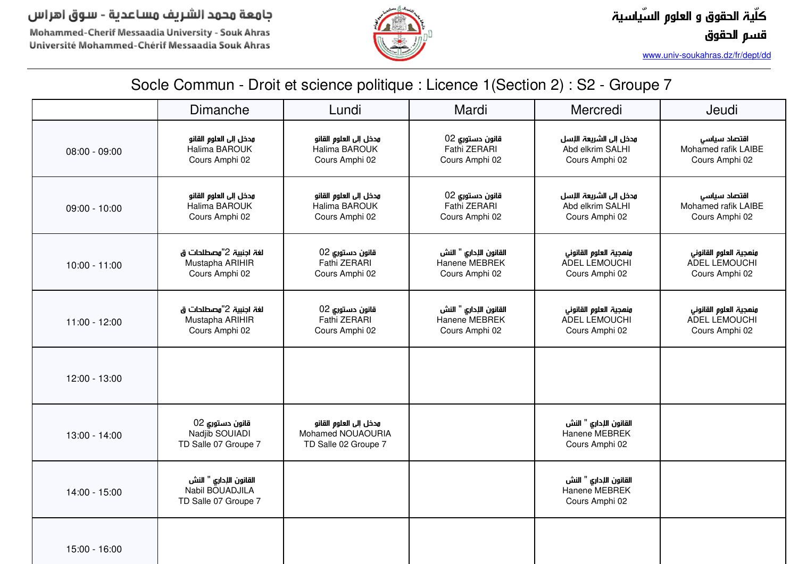Mohammed-Cherif Messaadia University - Souk Ahras Université Mohammed-Chérif Messaadia Souk Ahras



*www.univ-soukahras.dz/fr/dept/dd*

|                 | <b>Dimanche</b>                                                   | Lundi                                                               | Mardi                                                     | Mercredi                                                      | Jeudi                                                     |
|-----------------|-------------------------------------------------------------------|---------------------------------------------------------------------|-----------------------------------------------------------|---------------------------------------------------------------|-----------------------------------------------------------|
| $08:00 - 09:00$ | مدخل إلى العلوم القانو<br>Halima BAROUK<br>Cours Amphi 02         | مدخل إلى العلوم القانو<br>Halima BAROUK<br>Cours Amphi 02           | قانون دستوري 02<br>Fathi ZERARI<br>Cours Amphi 02         | مدخل إلى الشريعة اللسل<br>Abd elkrim SALHI<br>Cours Amphi 02  | اقتصاد سياسى<br>Mohamed rafik LAIBE<br>Cours Amphi 02     |
| $09:00 - 10:00$ | مدخل إلى العلوم القانو<br>Halima BAROUK<br>Cours Amphi 02         | مدخل إلى العلوم القانو<br>Halima BAROUK<br>Cours Amphi 02           | قانون دستوري 02<br>Fathi ZERARI<br>Cours Amphi 02         | مدخل إلى الشريعة اللإسل<br>Abd elkrim SALHI<br>Cours Amphi 02 | اقتصاد سياسى<br>Mohamed rafik LAIBE<br>Cours Amphi 02     |
| $10:00 - 11:00$ | لغة اجنبية 2"مصطلحات ق<br>Mustapha ARIHIR<br>Cours Amphi 02       | قانون دستوري 02<br>Fathi ZERARI<br>Cours Amphi 02                   | القانون الإداري " النش<br>Hanene MEBREK<br>Cours Amphi 02 | ونهجية العلوم القانوني<br>ADEL LEMOUCHI<br>Cours Amphi 02     | ونهجية العلوم القانوني<br>ADEL LEMOUCHI<br>Cours Amphi 02 |
| 11:00 - 12:00   | لغة اجنبية 2"مصطلحات ق<br>Mustapha ARIHIR<br>Cours Amphi 02       | قانون دستوري 02<br>Fathi ZERARI<br>Cours Amphi 02                   | القانون الإداري " النش<br>Hanene MEBREK<br>Cours Amphi 02 | ونهجية العلوم القانوني<br>ADEL LEMOUCHI<br>Cours Amphi 02     | ونهجية العلوم القانوني<br>ADEL LEMOUCHI<br>Cours Amphi 02 |
| 12:00 - 13:00   |                                                                   |                                                                     |                                                           |                                                               |                                                           |
| 13:00 - 14:00   | قانون دستوري 02<br>Nadjib SOUIADI<br>TD Salle 07 Groupe 7         | مدخل إلى العلوم القانو<br>Mohamed NOUAOURIA<br>TD Salle 02 Groupe 7 |                                                           | القانون الإداري " النش<br>Hanene MEBREK<br>Cours Amphi 02     |                                                           |
| 14:00 - 15:00   | القانون الإداري " النش<br>Nabil BOUADJILA<br>TD Salle 07 Groupe 7 |                                                                     |                                                           | القانون الإداري " النش<br>Hanene MEBREK<br>Cours Amphi 02     |                                                           |
| 15:00 - 16:00   |                                                                   |                                                                     |                                                           |                                                               |                                                           |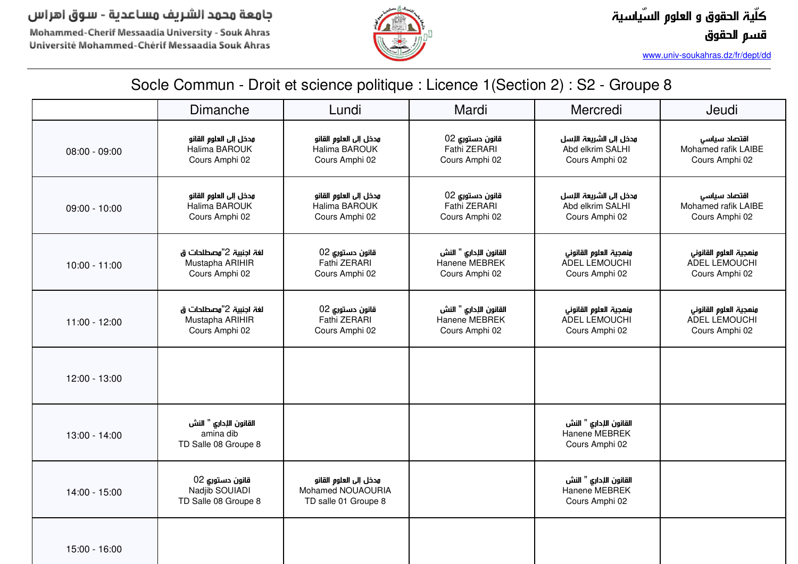Mohammed-Cherif Messaadia University - Souk Ahras Université Mohammed-Chérif Messaadia Souk Ahras



*www.univ-soukahras.dz/fr/dept/dd*

|                 | Dimanche                                                    | Lundi                                                               | Mardi                                                     | Mercredi                                                     | Jeudi                                                     |
|-----------------|-------------------------------------------------------------|---------------------------------------------------------------------|-----------------------------------------------------------|--------------------------------------------------------------|-----------------------------------------------------------|
| $08:00 - 09:00$ | مدخل إلى العلوم القانو<br>Halima BAROUK<br>Cours Amphi 02   | مدخل إلى العلوم القانو<br>Halima BAROUK<br>Cours Amphi 02           | قانون دستوري 02<br>Fathi ZERARI<br>Cours Amphi 02         | مدخل إلى الشريعة الإسل<br>Abd elkrim SALHI<br>Cours Amphi 02 | اقتصاد سياسى<br>Mohamed rafik LAIBE<br>Cours Amphi 02     |
| $09:00 - 10:00$ | مدخل إلى العلوم القانو<br>Halima BAROUK<br>Cours Amphi 02   | مدخل إلى العلوم القانو<br>Halima BAROUK<br>Cours Amphi 02           | قانون دستوري 02<br>Fathi ZERARI<br>Cours Amphi 02         | مدخل إلى الشريعة الإسل<br>Abd elkrim SALHI<br>Cours Amphi 02 | اقتصاد سياسى<br>Mohamed rafik LAIBE<br>Cours Amphi 02     |
| $10:00 - 11:00$ | لغة اجنبية 2"وصطلحات ق<br>Mustapha ARIHIR<br>Cours Amphi 02 | قانون دستوري 02<br>Fathi ZERARI<br>Cours Amphi 02                   | القانون الإداري " النش<br>Hanene MEBREK<br>Cours Amphi 02 | ونهجية العلوم القانوني<br>ADEL LEMOUCHI<br>Cours Amphi 02    | ونهجية العلوم القانوني<br>ADEL LEMOUCHI<br>Cours Amphi 02 |
| 11:00 - 12:00   | لغة اجنبية 2"وصطلحات ق<br>Mustapha ARIHIR<br>Cours Amphi 02 | قانون دستوري 02<br>Fathi ZERARI<br>Cours Amphi 02                   | القانون الإداري " النش<br>Hanene MEBREK<br>Cours Amphi 02 | ونهجية العلوم القانوني<br>ADEL LEMOUCHI<br>Cours Amphi 02    | ونمجية العلوم القانوني<br>ADEL LEMOUCHI<br>Cours Amphi 02 |
| 12:00 - 13:00   |                                                             |                                                                     |                                                           |                                                              |                                                           |
| 13:00 - 14:00   | القانون الإداري " النش<br>amina dib<br>TD Salle 08 Groupe 8 |                                                                     |                                                           | القانون الإداري " النش<br>Hanene MEBREK<br>Cours Amphi 02    |                                                           |
| 14:00 - 15:00   | قانون دستوري 02<br>Nadjib SOUIADI<br>TD Salle 08 Groupe 8   | مدخل إلى العلوم القانو<br>Mohamed NOUAOURIA<br>TD salle 01 Groupe 8 |                                                           | القانون الإداري " النش<br>Hanene MEBREK<br>Cours Amphi 02    |                                                           |
| 15:00 - 16:00   |                                                             |                                                                     |                                                           |                                                              |                                                           |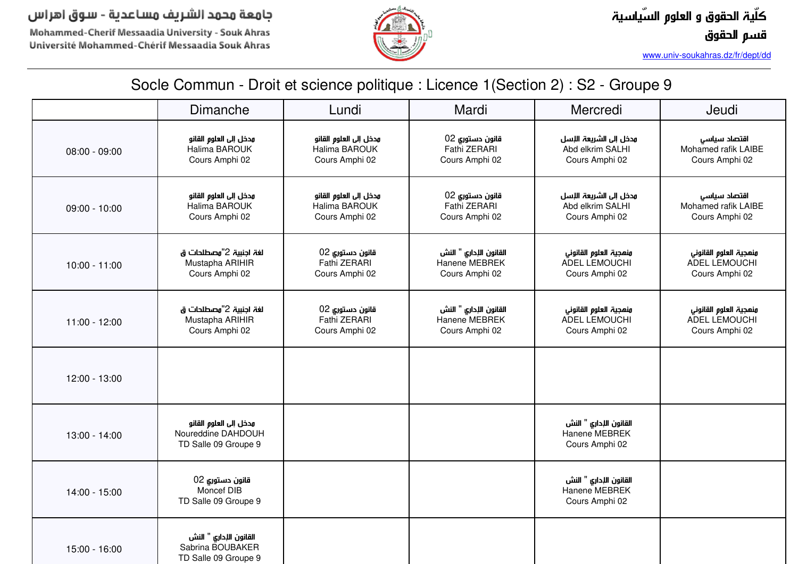Mohammed-Cherif Messaadia University - Souk Ahras Université Mohammed-Chérif Messaadia Souk Ahras



*www.univ-soukahras.dz/fr/dept/dd*

|                 | Dimanche                                                             | Lundi                                                     | Mardi                                                     | Mercredi                                                     | Jeudi                                                     |
|-----------------|----------------------------------------------------------------------|-----------------------------------------------------------|-----------------------------------------------------------|--------------------------------------------------------------|-----------------------------------------------------------|
| $08:00 - 09:00$ | مدخل إلى العلوم القانو<br>Halima BAROUK<br>Cours Amphi 02            | مدخل إلى العلوم القانو<br>Halima BAROUK<br>Cours Amphi 02 | قانون دستوري 02<br>Fathi ZERARI<br>Cours Amphi 02         | مدخل إلى الشريعة الإسل<br>Abd elkrim SALHI<br>Cours Amphi 02 | اقتصاد سياسى<br>Mohamed rafik LAIBE<br>Cours Amphi 02     |
| $09:00 - 10:00$ | مدخل إلى العلوم القانو<br>Halima BAROUK<br>Cours Amphi 02            | مدخل إلى العلوم القانو<br>Halima BAROUK<br>Cours Amphi 02 | قانون دستوري 02<br>Fathi ZERARI<br>Cours Amphi 02         | مدخل إلى الشريعة الإسل<br>Abd elkrim SALHI<br>Cours Amphi 02 | اقتصاد سياسى<br>Mohamed rafik LAIBE<br>Cours Amphi 02     |
| $10:00 - 11:00$ | لغة اجنبية 2"وصطلحات ق<br>Mustapha ARIHIR<br>Cours Amphi 02          | قانون دستوري 02<br>Fathi ZERARI<br>Cours Amphi 02         | القانون الإداري " النش<br>Hanene MEBREK<br>Cours Amphi 02 | ونمجية العلوم القانوني<br>ADEL LEMOUCHI<br>Cours Amphi 02    | ونمجية العلوم القانوني<br>ADEL LEMOUCHI<br>Cours Amphi 02 |
| 11:00 - 12:00   | لغة اجنبية 2"مصطلحات ق<br>Mustapha ARIHIR<br>Cours Amphi 02          | قانون دستوري 02<br>Fathi ZERARI<br>Cours Amphi 02         | القانون الإداري " النش<br>Hanene MEBREK<br>Cours Amphi 02 | ونهجية العلوم القانوني<br>ADEL LEMOUCHI<br>Cours Amphi 02    | ونمجية العلوم القانوني<br>ADEL LEMOUCHI<br>Cours Amphi 02 |
| 12:00 - 13:00   |                                                                      |                                                           |                                                           |                                                              |                                                           |
| 13:00 - 14:00   | مدخل إلى العلوم القانو<br>Noureddine DAHDOUH<br>TD Salle 09 Groupe 9 |                                                           |                                                           | القانون الإداري " النش<br>Hanene MEBREK<br>Cours Amphi 02    |                                                           |
| 14:00 - 15:00   | قانون دستورى 02<br>Moncef DIB<br>TD Salle 09 Groupe 9                |                                                           |                                                           | القانون الإداري " النش<br>Hanene MEBREK<br>Cours Amphi 02    |                                                           |
| 15:00 - 16:00   | القانون الإداري " النش<br>Sabrina BOUBAKER<br>TD Salle 09 Groupe 9   |                                                           |                                                           |                                                              |                                                           |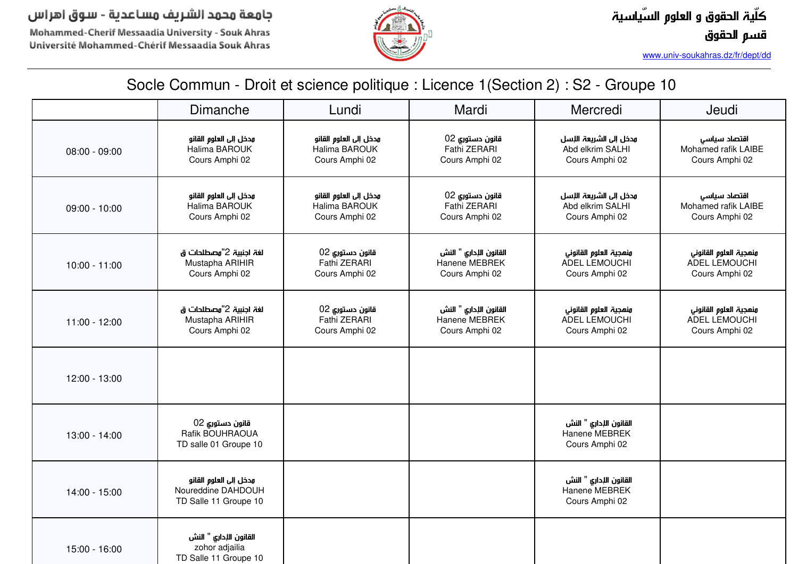Mohammed-Cherif Messaadia University - Souk Ahras Université Mohammed-Chérif Messaadia Souk Ahras



*www.univ-soukahras.dz/fr/dept/dd*

|                 | Dimanche                                                              | Lundi                                                     | Mardi                                                     | Mercredi                                                      | Jeudi                                                     |
|-----------------|-----------------------------------------------------------------------|-----------------------------------------------------------|-----------------------------------------------------------|---------------------------------------------------------------|-----------------------------------------------------------|
| $08:00 - 09:00$ | مدخل إلى العلوم القانو<br>Halima BAROUK<br>Cours Amphi 02             | مدخل إلى العلوم القانو<br>Halima BAROUK<br>Cours Amphi 02 | قانون دستوري 02<br>Fathi ZERARI<br>Cours Amphi 02         | مدخل إلى الشريعة اللسل<br>Abd elkrim SALHI<br>Cours Amphi 02  | اقتصاد سياسى<br>Mohamed rafik LAIBE<br>Cours Amphi 02     |
| $09:00 - 10:00$ | مدخل إلى العلوم القانو<br>Halima BAROUK<br>Cours Amphi 02             | مدخل إلى العلوم القانو<br>Halima BAROUK<br>Cours Amphi 02 | قانون دستوري 02<br>Fathi ZERARI<br>Cours Amphi 02         | مدخل إلى الشريعة اللإسل<br>Abd elkrim SALHI<br>Cours Amphi 02 | اقتصاد سياسى<br>Mohamed rafik LAIBE<br>Cours Amphi 02     |
| $10:00 - 11:00$ | لغة اجنبية 2"مصطلحات ق<br>Mustapha ARIHIR<br>Cours Amphi 02           | قانون دستوري 02<br>Fathi ZERARI<br>Cours Amphi 02         | القانون الإداري " النش<br>Hanene MEBREK<br>Cours Amphi 02 | ونهجية العلوم القانوني<br>ADEL LEMOUCHI<br>Cours Amphi 02     | ونهجية العلوم القانوني<br>ADEL LEMOUCHI<br>Cours Amphi 02 |
| $11:00 - 12:00$ | لغة اجنبية 2"مصطلحات ق<br>Mustapha ARIHIR<br>Cours Amphi 02           | قانون دستوري 02<br>Fathi ZERARI<br>Cours Amphi 02         | القانون الإداري " النش<br>Hanene MEBREK<br>Cours Amphi 02 | ونهجية العلوم القانوني<br>ADEL LEMOUCHI<br>Cours Amphi 02     | ونهجية العلوم القانوني<br>ADEL LEMOUCHI<br>Cours Amphi 02 |
| 12:00 - 13:00   |                                                                       |                                                           |                                                           |                                                               |                                                           |
| 13:00 - 14:00   | قانون دستوري 02<br>Rafik BOUHRAOUA<br>TD salle 01 Groupe 10           |                                                           |                                                           | القانون الإداري " النش<br>Hanene MEBREK<br>Cours Amphi 02     |                                                           |
| 14:00 - 15:00   | مدخل إلى العلوم القانو<br>Noureddine DAHDOUH<br>TD Salle 11 Groupe 10 |                                                           |                                                           | القانون الإداري " النش<br>Hanene MEBREK<br>Cours Amphi 02     |                                                           |
| 15:00 - 16:00   | القانون الإداري " النش<br>zohor adjailia<br>TD Salle 11 Groupe 10     |                                                           |                                                           |                                                               |                                                           |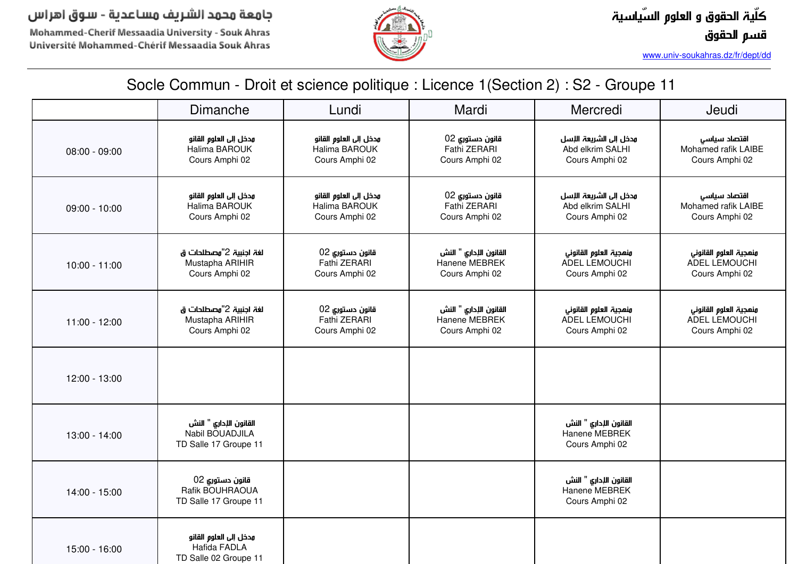Mohammed-Cherif Messaadia University - Souk Ahras Université Mohammed-Chérif Messaadia Souk Ahras



*www.univ-soukahras.dz/fr/dept/dd*

|                 | Dimanche                                                           | Lundi                                                     | Mardi                                                     | Mercredi                                                     | Jeudi                                                     |
|-----------------|--------------------------------------------------------------------|-----------------------------------------------------------|-----------------------------------------------------------|--------------------------------------------------------------|-----------------------------------------------------------|
| $08:00 - 09:00$ | مدخل إلى العلوم القانو<br>Halima BAROUK<br>Cours Amphi 02          | مدخل إلى العلوم القانو<br>Halima BAROUK<br>Cours Amphi 02 | قانون دستوري 02<br>Fathi ZERARI<br>Cours Amphi 02         | مدخل إلى الشريعة اللسل<br>Abd elkrim SALHI<br>Cours Amphi 02 | اقتصاد سياسى<br>Mohamed rafik LAIBE<br>Cours Amphi 02     |
| $09:00 - 10:00$ | مدخل إلى العلوم القانو<br>Halima BAROUK<br>Cours Amphi 02          | مدخل إلى العلوم القانو<br>Halima BAROUK<br>Cours Amphi 02 | قانون دستوري 02<br>Fathi ZERARI<br>Cours Amphi 02         | مدخل إلى الشريعة الإسل<br>Abd elkrim SALHI<br>Cours Amphi 02 | اقتصاد سياسى<br>Mohamed rafik LAIBE<br>Cours Amphi 02     |
| $10:00 - 11:00$ | لغة اجنبية 2"مصطلحات ق<br>Mustapha ARIHIR<br>Cours Amphi 02        | قانون دستوري 02<br>Fathi ZERARI<br>Cours Amphi 02         | القانون الإداري " النش<br>Hanene MEBREK<br>Cours Amphi 02 | ونهجية العلوم القانوني<br>ADEL LEMOUCHI<br>Cours Amphi 02    | ونهجية العلوم القانوني<br>ADEL LEMOUCHI<br>Cours Amphi 02 |
| $11:00 - 12:00$ | لغة اجنبية 2"مصطلحات ق<br>Mustapha ARIHIR<br>Cours Amphi 02        | قانون دستوري 02<br>Fathi ZERARI<br>Cours Amphi 02         | القانون الإداري " النش<br>Hanene MEBREK<br>Cours Amphi 02 | منهجية العلوم القانوني<br>ADEL LEMOUCHI<br>Cours Amphi 02    | ونهجية العلوم القانوني<br>ADEL LEMOUCHI<br>Cours Amphi 02 |
| 12:00 - 13:00   |                                                                    |                                                           |                                                           |                                                              |                                                           |
| 13:00 - 14:00   | القانون الإداري " النش<br>Nabil BOUADJILA<br>TD Salle 17 Groupe 11 |                                                           |                                                           | القانون الإداري " النش<br>Hanene MEBREK<br>Cours Amphi 02    |                                                           |
| 14:00 - 15:00   | قانون دستوري 02<br>Rafik BOUHRAOUA<br>TD Salle 17 Groupe 11        |                                                           |                                                           | القانون الإداري " النش<br>Hanene MEBREK<br>Cours Amphi 02    |                                                           |
| 15:00 - 16:00   | مدخل إلى العلوم القانو<br>Hafida FADLA<br>TD Salle 02 Groupe 11    |                                                           |                                                           |                                                              |                                                           |